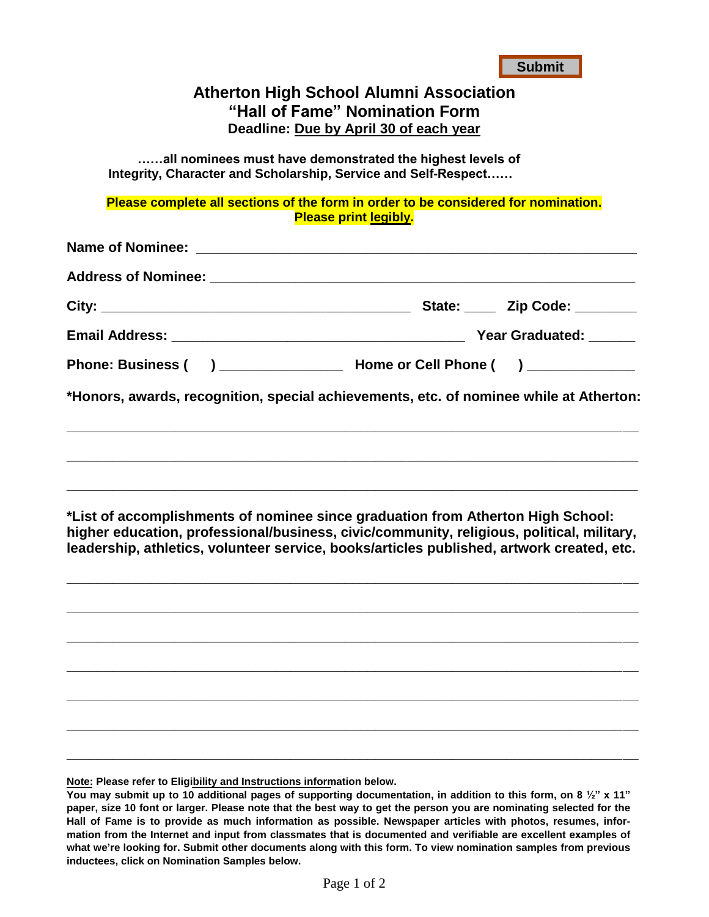| <b>ubmit</b> |  |
|--------------|--|
|              |  |

## **Atherton High School Alumni Association "Hall of Fame" Nomination Form Deadline: Due by April 30 of each year**

**……all nominees must have demonstrated the highest levels of Integrity, Character and Scholarship, Service and Self-Respect……** 

**Please complete all sections of the form in order to be considered for nomination. Please print legibly.**

| *Honors, awards, recognition, special achievements, etc. of nominee while at Atherton:                                                                                       |
|------------------------------------------------------------------------------------------------------------------------------------------------------------------------------|
| *List of accomplishments of nominee since graduation from Atherton High School:<br>higher education, professional/business, civic/community, religious, political, military, |

**higher education, professional/business, civic/community, religious, political, military, leadership, athletics, volunteer service, books/articles published, artwork created, etc.**

**\_\_\_\_\_\_\_\_\_\_\_\_\_\_\_\_\_\_\_\_\_\_\_\_\_\_\_\_\_\_\_\_\_\_\_\_\_\_\_\_\_\_\_\_\_\_\_\_\_\_\_\_\_\_\_\_\_\_\_\_\_\_\_\_\_\_\_\_\_\_\_\_\_\_** 

**\_\_\_\_\_\_\_\_\_\_\_\_\_\_\_\_\_\_\_\_\_\_\_\_\_\_\_\_\_\_\_\_\_\_\_\_\_\_\_\_\_\_\_\_\_\_\_\_\_\_\_\_\_\_\_\_\_\_\_\_\_\_\_\_\_\_\_\_\_\_\_\_\_\_** 

**\_\_\_\_\_\_\_\_\_\_\_\_\_\_\_\_\_\_\_\_\_\_\_\_\_\_\_\_\_\_\_\_\_\_\_\_\_\_\_\_\_\_\_\_\_\_\_\_\_\_\_\_\_\_\_\_\_\_\_\_\_\_\_\_\_\_\_\_\_\_\_\_\_\_** 

**\_\_\_\_\_\_\_\_\_\_\_\_\_\_\_\_\_\_\_\_\_\_\_\_\_\_\_\_\_\_\_\_\_\_\_\_\_\_\_\_\_\_\_\_\_\_\_\_\_\_\_\_\_\_\_\_\_\_\_\_\_\_\_\_\_\_\_\_\_\_\_\_\_\_** 

**\_\_\_\_\_\_\_\_\_\_\_\_\_\_\_\_\_\_\_\_\_\_\_\_\_\_\_\_\_\_\_\_\_\_\_\_\_\_\_\_\_\_\_\_\_\_\_\_\_\_\_\_\_\_\_\_\_\_\_\_\_\_\_\_\_\_\_\_\_\_\_\_\_\_** 

**\_\_\_\_\_\_\_\_\_\_\_\_\_\_\_\_\_\_\_\_\_\_\_\_\_\_\_\_\_\_\_\_\_\_\_\_\_\_\_\_\_\_\_\_\_\_\_\_\_\_\_\_\_\_\_\_\_\_\_\_\_\_\_\_\_\_\_\_\_\_\_\_\_\_** 

**\_\_\_\_\_\_\_\_\_\_\_\_\_\_\_\_\_\_\_\_\_\_\_\_\_\_\_\_\_\_\_\_\_\_\_\_\_\_\_\_\_\_\_\_\_\_\_\_\_\_\_\_\_\_\_\_\_\_\_\_\_\_\_\_\_\_\_\_\_\_\_\_\_\_** 

**Note: Please refer to Eligibility and Instructions information below.**

**You may submit up to 10 additional pages of supporting documentation, in addition to this form, on 8 ½" x 11" paper, size 10 font or larger. Please note that the best way to get the person you are nominating selected for the Hall of Fame is to provide as much information as possible. Newspaper articles with photos, resumes, information from the Internet and input from classmates that is documented and verifiable are excellent examples of what we're looking for. Submit other documents along with this form. To view nomination samples from previous inductees, click on Nomination Samples below.**